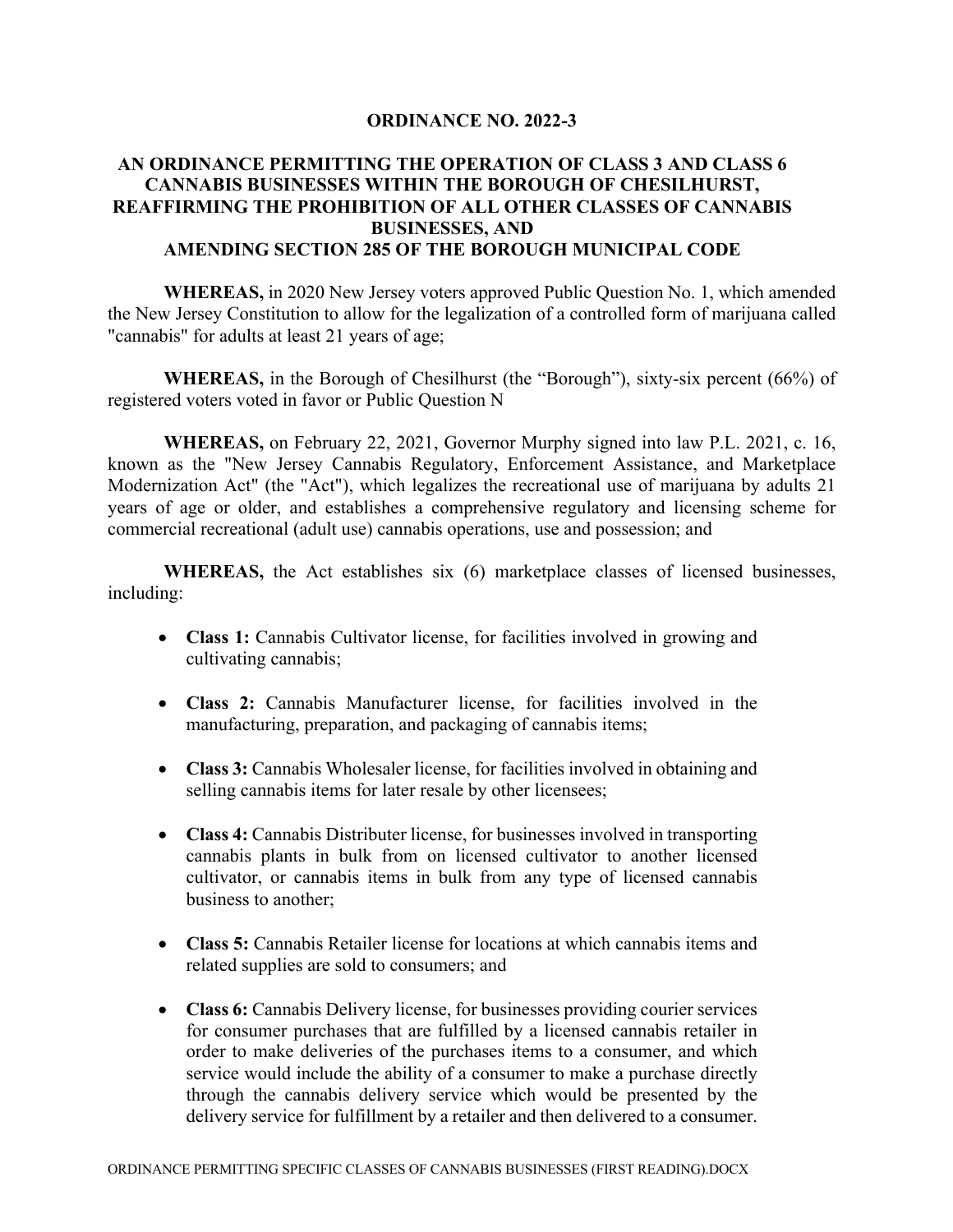## **ORDINANCE NO. 2022-3**

## **AN ORDINANCE PERMITTING THE OPERATION OF CLASS 3 AND CLASS 6 CANNABIS BUSINESSES WITHIN THE BOROUGH OF CHESILHURST, REAFFIRMING THE PROHIBITION OF ALL OTHER CLASSES OF CANNABIS BUSINESSES, AND AMENDING SECTION 285 OF THE BOROUGH MUNICIPAL CODE**

**WHEREAS,** in 2020 New Jersey voters approved Public Question No. 1, which amended the New Jersey Constitution to allow for the legalization of a controlled form of marijuana called "cannabis" for adults at least 21 years of age;

**WHEREAS,** in the Borough of Chesilhurst (the "Borough"), sixty-six percent (66%) of registered voters voted in favor or Public Question N

**WHEREAS,** on February 22, 2021, Governor Murphy signed into law P.L. 2021, c. 16, known as the "New Jersey Cannabis Regulatory, Enforcement Assistance, and Marketplace Modernization Act" (the "Act"), which legalizes the recreational use of marijuana by adults 21 years of age or older, and establishes a comprehensive regulatory and licensing scheme for commercial recreational (adult use) cannabis operations, use and possession; and

**WHEREAS,** the Act establishes six (6) marketplace classes of licensed businesses, including:

- **Class 1:** Cannabis Cultivator license, for facilities involved in growing and cultivating cannabis;
- **Class 2:** Cannabis Manufacturer license, for facilities involved in the manufacturing, preparation, and packaging of cannabis items;
- **Class 3:** Cannabis Wholesaler license, for facilities involved in obtaining and selling cannabis items for later resale by other licensees;
- **Class 4:** Cannabis Distributer license, for businesses involved in transporting cannabis plants in bulk from on licensed cultivator to another licensed cultivator, or cannabis items in bulk from any type of licensed cannabis business to another;
- **Class 5:** Cannabis Retailer license for locations at which cannabis items and related supplies are sold to consumers; and
- **Class 6:** Cannabis Delivery license, for businesses providing courier services for consumer purchases that are fulfilled by a licensed cannabis retailer in order to make deliveries of the purchases items to a consumer, and which service would include the ability of a consumer to make a purchase directly through the cannabis delivery service which would be presented by the delivery service for fulfillment by a retailer and then delivered to a consumer.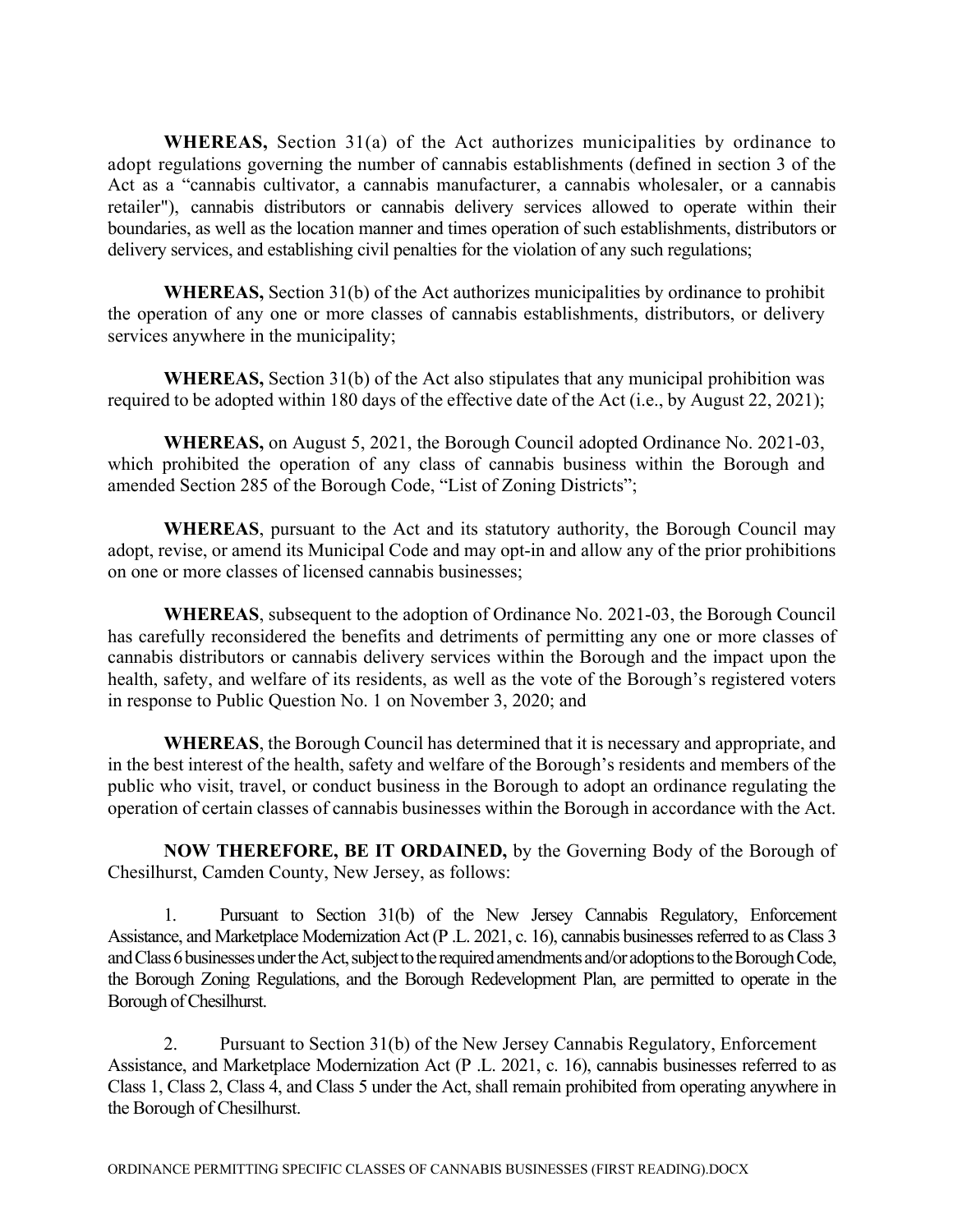**WHEREAS,** Section 31(a) of the Act authorizes municipalities by ordinance to adopt regulations governing the number of cannabis establishments (defined in section 3 of the Act as a "cannabis cultivator, a cannabis manufacturer, a cannabis wholesaler, or a cannabis retailer"), cannabis distributors or cannabis delivery services allowed to operate within their boundaries, as well as the location manner and times operation of such establishments, distributors or delivery services, and establishing civil penalties for the violation of any such regulations;

**WHEREAS,** Section 31(b) of the Act authorizes municipalities by ordinance to prohibit the operation of any one or more classes of cannabis establishments, distributors, or delivery services anywhere in the municipality;

**WHEREAS,** Section 31(b) of the Act also stipulates that any municipal prohibition was required to be adopted within 180 days of the effective date of the Act (i.e., by August 22, 2021);

**WHEREAS,** on August 5, 2021, the Borough Council adopted Ordinance No. 2021-03, which prohibited the operation of any class of cannabis business within the Borough and amended Section 285 of the Borough Code, "List of Zoning Districts";

**WHEREAS**, pursuant to the Act and its statutory authority, the Borough Council may adopt, revise, or amend its Municipal Code and may opt-in and allow any of the prior prohibitions on one or more classes of licensed cannabis businesses;

**WHEREAS**, subsequent to the adoption of Ordinance No. 2021-03, the Borough Council has carefully reconsidered the benefits and detriments of permitting any one or more classes of cannabis distributors or cannabis delivery services within the Borough and the impact upon the health, safety, and welfare of its residents, as well as the vote of the Borough's registered voters in response to Public Question No. 1 on November 3, 2020; and

**WHEREAS**, the Borough Council has determined that it is necessary and appropriate, and in the best interest of the health, safety and welfare of the Borough's residents and members of the public who visit, travel, or conduct business in the Borough to adopt an ordinance regulating the operation of certain classes of cannabis businesses within the Borough in accordance with the Act.

**NOW THEREFORE, BE IT ORDAINED,** by the Governing Body of the Borough of Chesilhurst, Camden County, New Jersey, as follows:

1. Pursuant to Section 31(b) of the New Jersey Cannabis Regulatory, Enforcement Assistance, and Marketplace Modernization Act (P .L. 2021, c. 16), cannabis businesses referred to as Class 3 and Class 6 businesses under the Act, subject to the required amendments and/or adoptions to the Borough Code, the Borough Zoning Regulations, and the Borough Redevelopment Plan, are permitted to operate in the Borough of Chesilhurst.

2. Pursuant to Section 31(b) of the New Jersey Cannabis Regulatory, Enforcement Assistance, and Marketplace Modernization Act (P .L. 2021, c. 16), cannabis businesses referred to as Class 1, Class 2, Class 4, and Class 5 under the Act, shall remain prohibited from operating anywhere in the Borough of Chesilhurst.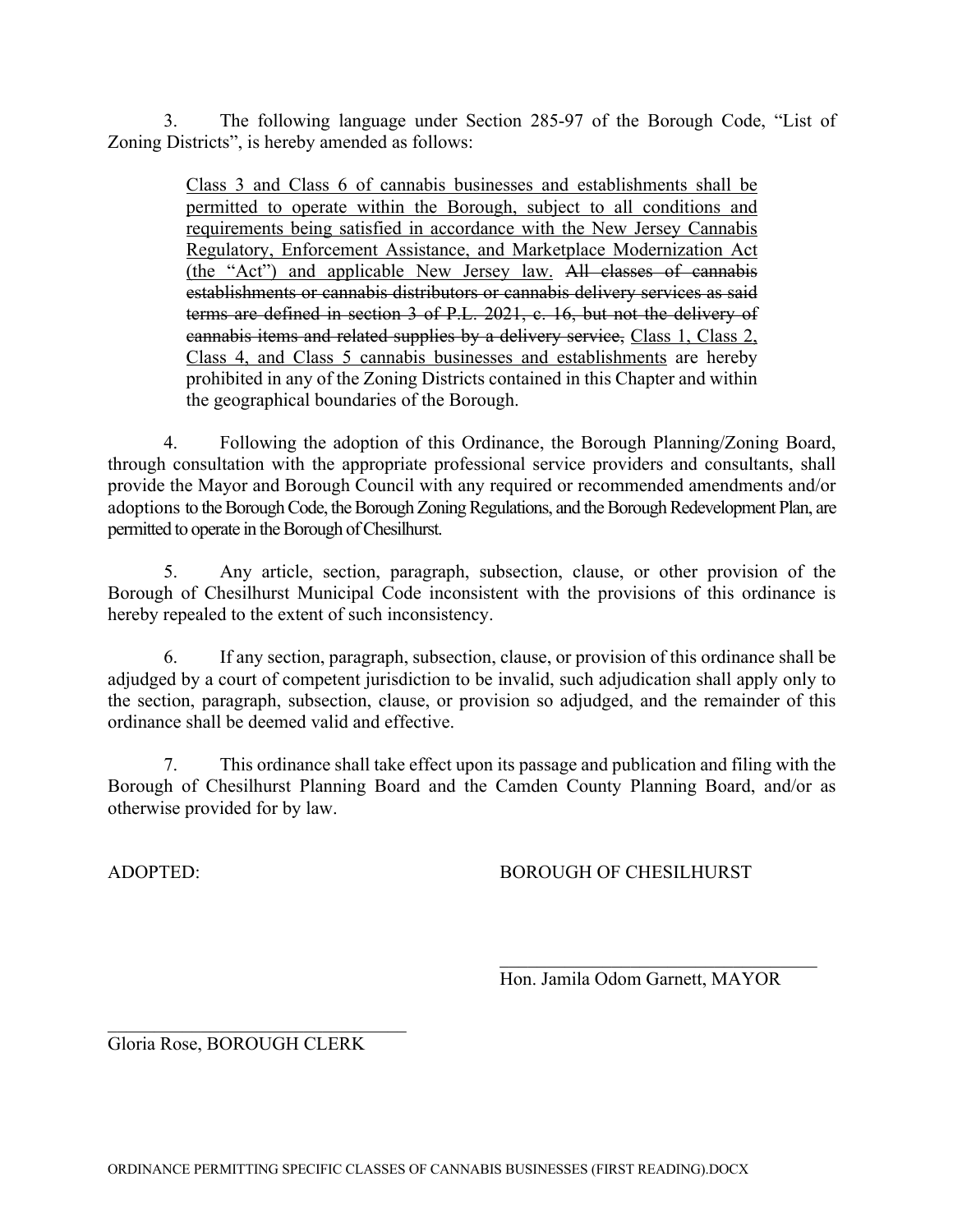3. The following language under Section 285-97 of the Borough Code, "List of Zoning Districts", is hereby amended as follows:

> Class 3 and Class 6 of cannabis businesses and establishments shall be permitted to operate within the Borough, subject to all conditions and requirements being satisfied in accordance with the New Jersey Cannabis Regulatory, Enforcement Assistance, and Marketplace Modernization Act (the "Act") and applicable New Jersey law. All classes of cannabis establishments or cannabis distributors or cannabis delivery services as said terms are defined in section 3 of P.L. 2021, c. 16, but not the delivery of cannabis items and related supplies by a delivery service, Class 1, Class 2, Class 4, and Class 5 cannabis businesses and establishments are hereby prohibited in any of the Zoning Districts contained in this Chapter and within the geographical boundaries of the Borough.

4. Following the adoption of this Ordinance, the Borough Planning/Zoning Board, through consultation with the appropriate professional service providers and consultants, shall provide the Mayor and Borough Council with any required or recommended amendments and/or adoptions to the Borough Code, the Borough Zoning Regulations, and the Borough Redevelopment Plan, are permitted to operate in the Borough of Chesilhurst.

5. Any article, section, paragraph, subsection, clause, or other provision of the Borough of Chesilhurst Municipal Code inconsistent with the provisions of this ordinance is hereby repealed to the extent of such inconsistency.

6. If any section, paragraph, subsection, clause, or provision of this ordinance shall be adjudged by a court of competent jurisdiction to be invalid, such adjudication shall apply only to the section, paragraph, subsection, clause, or provision so adjudged, and the remainder of this ordinance shall be deemed valid and effective.

7. This ordinance shall take effect upon its passage and publication and filing with the Borough of Chesilhurst Planning Board and the Camden County Planning Board, and/or as otherwise provided for by law.

ADOPTED: BOROUGH OF CHESILHURST

Hon. Jamila Odom Garnett, MAYOR

Gloria Rose, BOROUGH CLERK

 $\mathcal{L}=\mathcal{L}=\mathcal{L}=\mathcal{L}=\mathcal{L}=\mathcal{L}=\mathcal{L}=\mathcal{L}=\mathcal{L}=\mathcal{L}=\mathcal{L}=\mathcal{L}=\mathcal{L}=\mathcal{L}=\mathcal{L}=\mathcal{L}=\mathcal{L}=\mathcal{L}=\mathcal{L}=\mathcal{L}=\mathcal{L}=\mathcal{L}=\mathcal{L}=\mathcal{L}=\mathcal{L}=\mathcal{L}=\mathcal{L}=\mathcal{L}=\mathcal{L}=\mathcal{L}=\mathcal{L}=\mathcal{L}=\mathcal{L}=\mathcal{L}=\mathcal{L}=\mathcal{L}=\mathcal{$